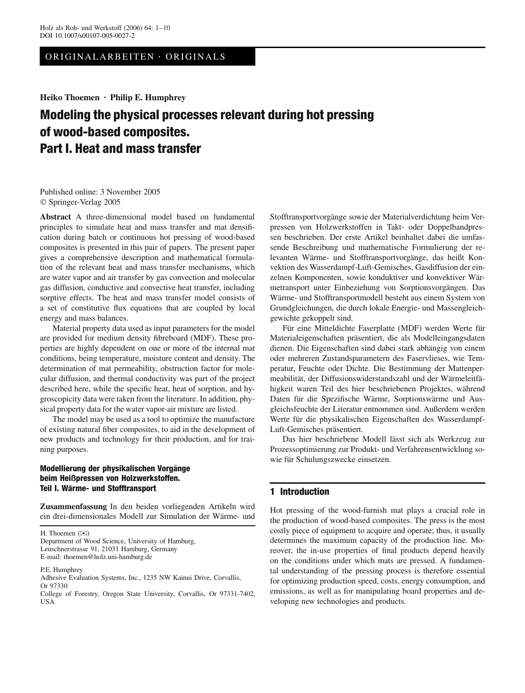ORIGINALARBEITEN · ORIGINALS

**Heiko Thoemen · Philip E. Humphrey**

# **Modeling the physical processes relevant during hot pressing of wood-based composites. Part I. Heat and mass transfer**

Published online: 3 November 2005 © Springer-Verlag 2005

**Abstract** A three-dimensional model based on fundamental principles to simulate heat and mass transfer and mat densification during batch or continuous hot pressing of wood-based composites is presented in this pair of papers. The present paper gives a comprehensive description and mathematical formulation of the relevant heat and mass transfer mechanisms, which are water vapor and air transfer by gas convection and molecular gas diffusion, conductive and convective heat transfer, including sorptive effects. The heat and mass transfer model consists of a set of constitutive flux equations that are coupled by local energy and mass balances.

Material property data used as input parameters for the model are provided for medium density fibreboard (MDF). These properties are highly dependent on one or more of the internal mat conditions, being temperature, moisture content and density. The determination of mat permeability, obstruction factor for molecular diffusion, and thermal conductivity was part of the project described here, while the specific heat, heat of sorption, and hygroscopicity data were taken from the literature. In addition, physical property data for the water vapor-air mixture are listed.

The model may be used as a tool to optimize the manufacture of existing natural fiber composites, to aid in the development of new products and technology for their production, and for training purposes.

## **Modellierung der physikalischen Vorgange** ¨ **beim Heißpressen von Holzwerkstoffen. Teil I. Wärme- und Stofftransport**

**Zusammenfassung** In den beiden vorliegenden Artikeln wird ein drei-dimensionales Modell zur Simulation der Wärme- und

H. Thoemen  $(\mathbb{X})$ 

P.E. Humphrey

Stofftransportvorgänge sowie der Materialverdichtung beim Verpressen von Holzwerkstoffen in Takt- oder Doppelbandpressen beschrieben. Der erste Artikel beinhaltet dabei die umfassende Beschreibung und mathematische Formulierung der relevanten Wärme- und Stofftransportvorgänge, das heißt Konvektion des Wasserdampf-Luft-Gemisches, Gasdiffusion der einzelnen Komponenten, sowie konduktiver und konvektiver Wärmetransport unter Einbeziehung von Sorptionsvorgängen. Das Wärme- und Stofftransportmodell besteht aus einem System von Grundgleichungen, die durch lokale Energie- und Massengleichgewichte gekoppelt sind.

Für eine Mitteldichte Faserplatte (MDF) werden Werte für Materialeigenschaften präsentiert, die als Modelleingangsdaten dienen. Die Eigenschaften sind dabei stark abhängig von einem oder mehreren Zustandsparametern des Faservlieses, wie Temperatur, Feuchte oder Dichte. Die Bestimmung der Mattenpermeabilität, der Diffusionswiderstandszahl und der Wärmeleitfähigkeit waren Teil des hier beschriebenen Projektes, während Daten für die Spezifische Wärme, Sorptionswärme und Ausgleichsfeuchte der Literatur entnommen sind. Außerdem werden Werte für die physikalischen Eigenschaften des Wasserdampf-Luft-Gemisches präsentiert.

Das hier beschriebene Modell lässt sich als Werkzeug zur Prozessoptimierung zur Produkt- und Verfahrensentwicklung sowie für Schulungszwecke einsetzen.

## **1 Introduction**

Hot pressing of the wood-furnish mat plays a crucial role in the production of wood-based composites. The press is the most costly piece of equipment to acquire and operate; thus, it usually determines the maximum capacity of the production line. Moreover, the in-use properties of final products depend heavily on the conditions under which mats are pressed. A fundamental understanding of the pressing process is therefore essential for optimizing production speed, costs, energy consumption, and emissions, as well as for manipulating board properties and developing new technologies and products.

Department of Wood Science, University of Hamburg, Leuschnerstrasse 91, 21031 Hamburg, Germany E-mail: thoemen@holz.uni-hamburg.de

Adhesive Evaluation Systems, Inc., 1235 NW Kainui Drive, Corvallis, Or 97330

College of Forestry, Oregon State University, Corvallis, Or 97331-7402, USA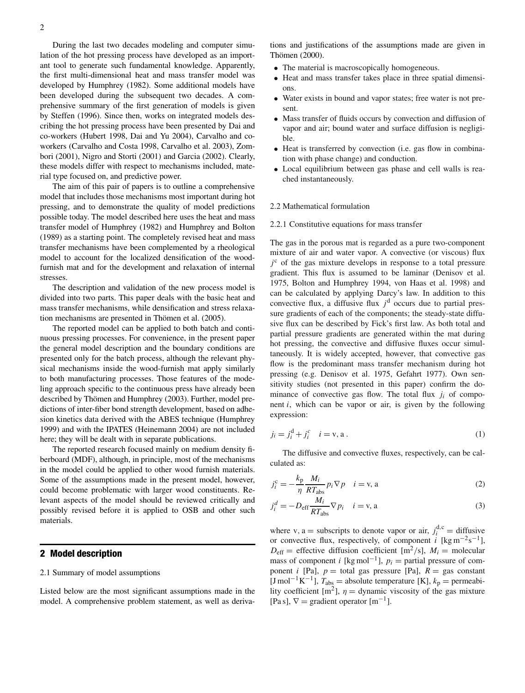During the last two decades modeling and computer simulation of the hot pressing process have developed as an important tool to generate such fundamental knowledge. Apparently, the first multi-dimensional heat and mass transfer model was developed by Humphrey (1982). Some additional models have been developed during the subsequent two decades. A comprehensive summary of the first generation of models is given by Steffen (1996). Since then, works on integrated models describing the hot pressing process have been presented by Dai and co-workers (Hubert 1998, Dai and Yu 2004), Carvalho and coworkers (Carvalho and Costa 1998, Carvalho et al. 2003), Zombori (2001), Nigro and Storti (2001) and Garcia (2002). Clearly, these models differ with respect to mechanisms included, material type focused on, and predictive power.

The aim of this pair of papers is to outline a comprehensive model that includes those mechanisms most important during hot pressing, and to demonstrate the quality of model predictions possible today. The model described here uses the heat and mass transfer model of Humphrey (1982) and Humphrey and Bolton (1989) as a starting point. The completely revised heat and mass transfer mechanisms have been complemented by a rheological model to account for the localized densification of the woodfurnish mat and for the development and relaxation of internal stresses.

The description and validation of the new process model is divided into two parts. This paper deals with the basic heat and mass transfer mechanisms, while densification and stress relaxation mechanisms are presented in Thömen et al. (2005).

The reported model can be applied to both batch and continuous pressing processes. For convenience, in the present paper the general model description and the boundary conditions are presented only for the batch process, although the relevant physical mechanisms inside the wood-furnish mat apply similarly to both manufacturing processes. Those features of the modeling approach specific to the continuous press have already been described by Thömen and Humphrey (2003). Further, model predictions of inter-fiber bond strength development, based on adhesion kinetics data derived with the ABES technique (Humphrey 1999) and with the IPATES (Heinemann 2004) are not included here; they will be dealt with in separate publications.

The reported research focused mainly on medium density fiberboard (MDF), although, in principle, most of the mechanisms in the model could be applied to other wood furnish materials. Some of the assumptions made in the present model, however, could become problematic with larger wood constituents. Relevant aspects of the model should be reviewed critically and possibly revised before it is applied to OSB and other such materials.

## **2 Model description**

#### 2.1 Summary of model assumptions

Listed below are the most significant assumptions made in the model. A comprehensive problem statement, as well as derivations and justifications of the assumptions made are given in Thömen (2000).

- The material is macroscopically homogeneous.
- Heat and mass transfer takes place in three spatial dimensions.
- Water exists in bound and vapor states; free water is not present.
- Mass transfer of fluids occurs by convection and diffusion of vapor and air; bound water and surface diffusion is negligible.
- Heat is transferred by convection (i.e. gas flow in combination with phase change) and conduction.
- Local equilibrium between gas phase and cell walls is reached instantaneously.

#### 2.2 Mathematical formulation

#### 2.2.1 Constitutive equations for mass transfer

The gas in the porous mat is regarded as a pure two-component mixture of air and water vapor. A convective (or viscous) flux  $j<sup>c</sup>$  of the gas mixture develops in response to a total pressure gradient. This flux is assumed to be laminar (Denisov et al. 1975, Bolton and Humphrey 1994, von Haas et al. 1998) and can be calculated by applying Darcy's law. In addition to this convective flux, a diffusive flux  $j<sup>d</sup>$  occurs due to partial pressure gradients of each of the components; the steady-state diffusive flux can be described by Fick's first law. As both total and partial pressure gradients are generated within the mat during hot pressing, the convective and diffusive fluxes occur simultaneously. It is widely accepted, however, that convective gas flow is the predominant mass transfer mechanism during hot pressing (e.g. Denisov et al. 1975, Gefahrt 1977). Own sensitivity studies (not presented in this paper) confirm the dominance of convective gas flow. The total flux  $j_i$  of component *i*, which can be vapor or air, is given by the following expression:

$$
j_i = j_i^d + j_i^c \quad i = v, a \,.
$$
 (1)

The diffusive and convective fluxes, respectively, can be calculated as:

$$
j_i^c = -\frac{k_p}{\eta} \frac{M_i}{RT_{\text{abs}}} p_i \nabla p \quad i = \mathbf{v}, \mathbf{a}
$$
 (2)

$$
j_i^d = -D_{\text{eff}} \frac{M_i}{RT_{\text{abs}}} \nabla p_i \quad i = \mathbf{v}, \mathbf{a}
$$
 (3)

where v, a = subscripts to denote vapor or air,  $j_i^{d,c}$  = diffusive or convective flux, respectively, of component  $\vec{i}$  [kg m<sup>-2</sup>s<sup>-1</sup>],  $D_{\text{eff}}$  = effective diffusion coefficient [m<sup>2</sup>/s],  $M_i$  = molecular mass of component *i* [kg mol<sup>-1</sup>],  $p_i$  = partial pressure of component *i* [Pa],  $p =$  total gas pressure [Pa],  $R =$  gas constant [J mol<sup>-1</sup>K<sup>-1</sup>],  $T_{\text{abs}}$  = absolute temperature [K],  $k_{\text{p}}$  = permeability coefficient  $[m^2]$ ,  $\eta$  = dynamic viscosity of the gas mixture [Pa s],  $\nabla$  = gradient operator [m<sup>-1</sup>].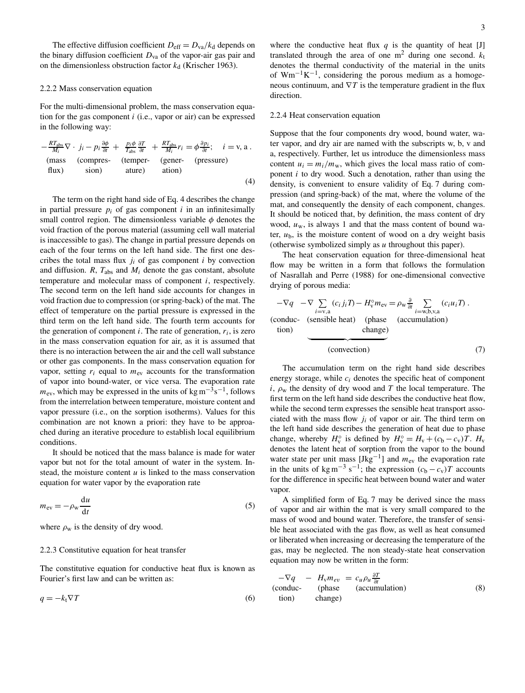The effective diffusion coefficient  $D_{\text{eff}} = D_{\text{va}}/k_d$  depends on the binary diffusion coefficient  $D_{va}$  of the vapor-air gas pair and on the dimensionless obstruction factor  $k_d$  (Krischer 1963).

#### 2.2.2 Mass conservation equation

For the multi-dimensional problem, the mass conservation equation for the gas component *i* (i.e., vapor or air) can be expressed in the following way:

$$
-\frac{RT_{\text{abs}}}{M_i} \nabla \cdot j_i - p_i \frac{\partial \phi}{\partial t} + \frac{p_i \phi}{T_{\text{abs}}} \frac{\partial T}{\partial t} + \frac{RT_{\text{abs}}}{M_i} r_i = \phi \frac{\partial p_i}{\partial t}; \quad i = \text{v, a}.
$$
\n(mass (compressive) (temperature) (gener- (pressure) ature) ature)

\n(4)

The term on the right hand side of Eq. 4 describes the change in partial pressure  $p_i$  of gas component  $i$  in an infinitesimally small control region. The dimensionless variable  $\phi$  denotes the void fraction of the porous material (assuming cell wall material is inaccessible to gas). The change in partial pressure depends on each of the four terms on the left hand side. The first one describes the total mass flux  $j_i$  of gas component  $i$  by convection and diffusion.  $R$ ,  $T_{\text{abs}}$  and  $M_i$  denote the gas constant, absolute temperature and molecular mass of component *i*, respectively. The second term on the left hand side accounts for changes in void fraction due to compression (or spring-back) of the mat. The effect of temperature on the partial pressure is expressed in the third term on the left hand side. The fourth term accounts for the generation of component  $i$ . The rate of generation,  $r_i$ , is zero in the mass conservation equation for air, as it is assumed that there is no interaction between the air and the cell wall substance or other gas components. In the mass conservation equation for vapor, setting  $r_i$  equal to  $m_{ev}$  accounts for the transformation of vapor into bound-water, or vice versa. The evaporation rate  $m_{\text{ev}}$ , which may be expressed in the units of kg m<sup>-3</sup>s<sup>-1</sup>, follows from the interrelation between temperature, moisture content and vapor pressure (i.e., on the sorption isotherms). Values for this combination are not known a priori: they have to be approached during an iterative procedure to establish local equilibrium conditions.

It should be noticed that the mass balance is made for water vapor but not for the total amount of water in the system. Instead, the moisture content *u* is linked to the mass conservation equation for water vapor by the evaporation rate

$$
m_{\rm ev} = -\rho_{\rm w} \frac{\mathrm{d}u}{\mathrm{d}t} \tag{5}
$$

where  $\rho_w$  is the density of dry wood.

#### 2.2.3 Constitutive equation for heat transfer

The constitutive equation for conductive heat flux is known as Fourier's first law and can be written as:

$$
q = -k_{t} \nabla T \tag{6}
$$

where the conductive heat flux  $q$  is the quantity of heat [J] translated through the area of one  $m<sup>2</sup>$  during one second.  $k<sub>t</sub>$ denotes the thermal conductivity of the material in the units of Wm<sup>-1</sup>K<sup>-1</sup>, considering the porous medium as a homogeneous continuum, and  $\nabla T$  is the temperature gradient in the flux direction.

#### 2.2.4 Heat conservation equation

Suppose that the four components dry wood, bound water, water vapor, and dry air are named with the subscripts w, b, v and a, respectively. Further, let us introduce the dimensionless mass content  $u_i = m_i/m_w$ , which gives the local mass ratio of component *i* to dry wood. Such a denotation, rather than using the density, is convenient to ensure validity of Eq. 7 during compression (and spring-back) of the mat, where the volume of the mat, and consequently the density of each component, changes. It should be noticed that, by definition, the mass content of dry wood,  $u_w$ , is always 1 and that the mass content of bound water,  $u<sub>b</sub>$ , is the moisture content of wood on a dry weight basis (otherwise symbolized simply as *u* throughout this paper).

The heat conservation equation for three-dimensional heat flow may be written in a form that follows the formulation of Nasrallah and Perre (1988) for one-dimensional convective drying of porous media:

$$
-\nabla q \quad -\nabla \sum_{i=v,a} (c_i j_i T) - H_v^{\circ} m_{ev} = \rho_w \frac{\partial}{\partial t} \sum_{i=w,b,v,a} (c_i u_i T).
$$
\n(conduc- (sensible heat) (phase) (accumulation) change)

\n(convection)

\n(7)

The accumulation term on the right hand side describes energy storage, while *ci* denotes the specific heat of component  $i$ ,  $\rho$ <sub>w</sub> the density of dry wood and *T* the local temperature. The first term on the left hand side describes the conductive heat flow, while the second term expresses the sensible heat transport associated with the mass flow  $j_i$  of vapor or air. The third term on the left hand side describes the generation of heat due to phase change, whereby  $H_v^{\circ}$  is defined by  $H_v^{\circ} = H_v + (c_b - c_v)T$ .  $H_v$ denotes the latent heat of sorption from the vapor to the bound water state per unit mass  $[Jkg^{-1}]$  and  $m_{ev}$  the evaporation rate in the units of kg m<sup>-3</sup> s<sup>-1</sup>; the expression  $(c_b - c_v)T$  accounts for the difference in specific heat between bound water and water vapor.

A simplified form of Eq. 7 may be derived since the mass of vapor and air within the mat is very small compared to the mass of wood and bound water. Therefore, the transfer of sensible heat associated with the gas flow, as well as heat consumed or liberated when increasing or decreasing the temperature of the gas, may be neglected. The non steady-state heat conservation equation may now be written in the form:

$$
-\nabla q - H_{\rm v} m_{ev} = c_u \rho_u \frac{\partial T}{\partial t}
$$
  
(conduc- (phase) (accumulation) change) (8)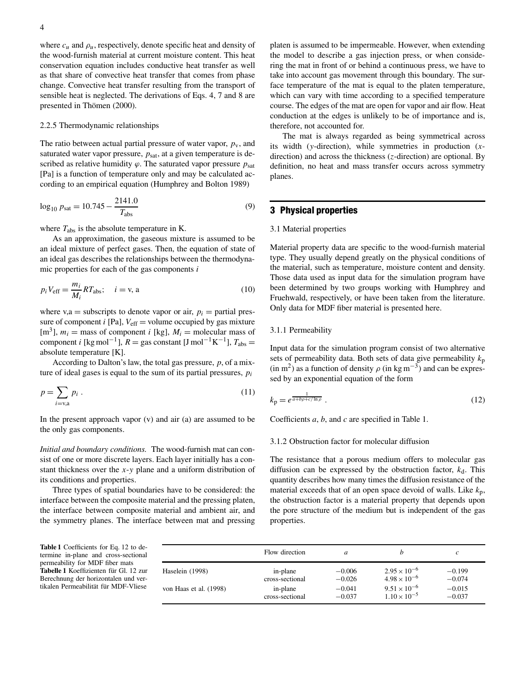where  $c_u$  and  $\rho_u$ , respectively, denote specific heat and density of the wood-furnish material at current moisture content. This heat conservation equation includes conductive heat transfer as well as that share of convective heat transfer that comes from phase change. Convective heat transfer resulting from the transport of sensible heat is neglected. The derivations of Eqs. 4, 7 and 8 are presented in Thömen (2000).

#### 2.2.5 Thermodynamic relationships

The ratio between actual partial pressure of water vapor,  $p<sub>v</sub>$ , and saturated water vapor pressure,  $p_{\text{sat}}$ , at a given temperature is described as relative humidity  $\varphi$ . The saturated vapor pressure  $p_{\text{sat}}$ [Pa] is a function of temperature only and may be calculated according to an empirical equation (Humphrey and Bolton 1989)

$$
\log_{10} p_{\text{sat}} = 10.745 - \frac{2141.0}{T_{\text{abs}}}
$$
\n(9)

where  $T_{\text{abs}}$  is the absolute temperature in K.

As an approximation, the gaseous mixture is assumed to be an ideal mixture of perfect gases. Then, the equation of state of an ideal gas describes the relationships between the thermodynamic properties for each of the gas components *i*

$$
p_i V_{\text{eff}} = \frac{m_i}{M_i} R T_{\text{abs}}; \quad i = v, \, a \tag{10}
$$

where  $v, a$  = subscripts to denote vapor or air,  $p_i$  = partial pressure of component *i* [Pa],  $V_{\text{eff}}$  = volume occupied by gas mixture  $[m<sup>3</sup>]$ ,  $m<sub>i</sub>$  = mass of component *i* [kg],  $M<sub>i</sub>$  = molecular mass of component *i* [kg mol<sup>-1</sup>],  $R =$  gas constant [J mol<sup>-1</sup>K<sup>-1</sup>],  $T_{\text{abs}} =$ absolute temperature [K].

According to Dalton's law, the total gas pressure, *p*, of a mixture of ideal gases is equal to the sum of its partial pressures, *pi*

$$
p = \sum_{i=v,a} p_i \tag{11}
$$

In the present approach vapor (v) and air (a) are assumed to be the only gas components.

*Initial and boundary conditions.* The wood-furnish mat can consist of one or more discrete layers. Each layer initially has a constant thickness over the *x*-*y* plane and a uniform distribution of its conditions and properties.

Three types of spatial boundaries have to be considered: the interface between the composite material and the pressing platen, the interface between composite material and ambient air, and the symmetry planes. The interface between mat and pressing platen is assumed to be impermeable. However, when extending the model to describe a gas injection press, or when considering the mat in front of or behind a continuous press, we have to take into account gas movement through this boundary. The surface temperature of the mat is equal to the platen temperature, which can vary with time according to a specified temperature course. The edges of the mat are open for vapor and air flow. Heat conduction at the edges is unlikely to be of importance and is, therefore, not accounted for.

The mat is always regarded as being symmetrical across its width (*y*-direction), while symmetries in production (*x*direction) and across the thickness (*z*-direction) are optional. By definition, no heat and mass transfer occurs across symmetry planes.

## **3 Physical properties**

#### 3.1 Material properties

Material property data are specific to the wood-furnish material type. They usually depend greatly on the physical conditions of the material, such as temperature, moisture content and density. Those data used as input data for the simulation program have been determined by two groups working with Humphrey and Fruehwald, respectively, or have been taken from the literature. Only data for MDF fiber material is presented here.

#### 3.1.1 Permeability

Input data for the simulation program consist of two alternative sets of permeability data. Both sets of data give permeability  $k_p$ (in m<sup>2</sup>) as a function of density  $\rho$  (in kg m<sup>-3</sup>) and can be expressed by an exponential equation of the form

$$
k_{\rm p} = e^{\frac{1}{a+b\rho+c/\ln\rho}}\tag{12}
$$

Coefficients *a*, *b*, and *c* are specified in Table 1.

#### 3.1.2 Obstruction factor for molecular diffusion

The resistance that a porous medium offers to molecular gas diffusion can be expressed by the obstruction factor,  $k_d$ . This quantity describes how many times the diffusion resistance of the material exceeds that of an open space devoid of walls. Like  $k_p$ , the obstruction factor is a material property that depends upon the pore structure of the medium but is independent of the gas properties.

**Table 1** Coefficients for Eq. 12 to determine in-plane and cross-sectional permeability for MDF fiber mats **Tabelle 1** Koeffizienten für Gl. 12 zur Berechnung der horizontalen und vertikalen Permeabilität für MDF-Vliese

|                        | Flow direction  | a        |                       | c        |
|------------------------|-----------------|----------|-----------------------|----------|
| Haselein (1998)        | in-plane        | $-0.006$ | $2.95 \times 10^{-6}$ | $-0.199$ |
|                        | cross-sectional | $-0.026$ | $4.98 \times 10^{-6}$ | $-0.074$ |
| von Haas et al. (1998) | in-plane        | $-0.041$ | $9.51 \times 10^{-6}$ | $-0.015$ |
|                        | cross-sectional | $-0.037$ | $1.10 \times 10^{-5}$ | $-0.037$ |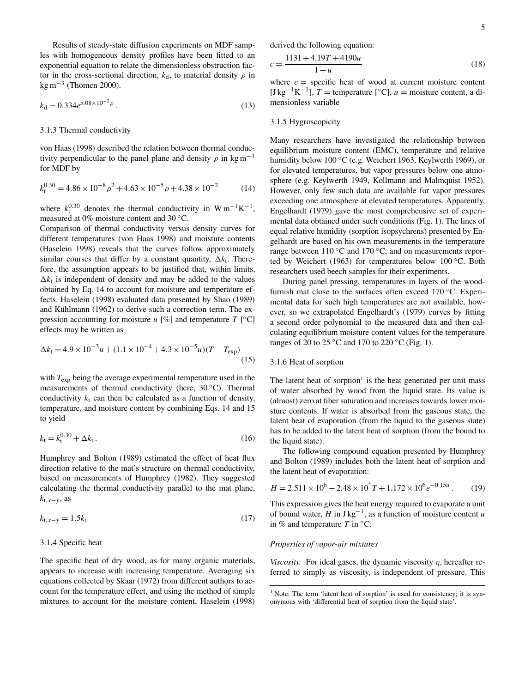Results of steady-state diffusion experiments on MDF samples with homogeneous density profiles have been fitted to an exponential equation to relate the dimensionless obstruction factor in the cross-sectional direction,  $k_d$ , to material density  $\rho$  in  $kg m<sup>-3</sup>$  (Thömen 2000).

$$
k_{\rm d} = 0.334 e^{5.08 \times 10^{-3} \rho} \,. \tag{13}
$$

#### 3.1.3 Thermal conductivity

von Haas (1998) described the relation between thermal conductivity perpendicular to the panel plane and density  $\rho$  in kg m<sup>-3</sup> for MDF by

$$
k_{t}^{0.30} = 4.86 \times 10^{-8} \rho^{2} + 4.63 \times 10^{-5} \rho + 4.38 \times 10^{-2}
$$
 (14)

where  $k_1^{0.30}$  denotes the thermal conductivity in W m<sup>-1</sup>K<sup>-1</sup>, measured at 0% moisture content and 30 ◦C.

Comparison of thermal conductivity versus density curves for different temperatures (von Haas 1998) and moisture contents (Haselein 1998) reveals that the curves follow approximately similar courses that differ by a constant quantity, ∆*k*<sub>t</sub>. Therefore, the assumption appears to be justified that, within limits,  $\Delta k_t$  is independent of density and may be added to the values obtained by Eq. 14 to account for moisture and temperature effects. Haselein (1998) evaluated data presented by Shao (1989) and Kühlmann (1962) to derive such a correction term. The expression accounting for moisture  $u$  [%] and temperature  $T$  [ $^{\circ}$ C] effects may be written as

$$
\Delta k_{\rm t} = 4.9 \times 10^{-3} u + (1.1 \times 10^{-4} + 4.3 \times 10^{-5} u)(T - T_{\rm exp})
$$
\n(15)

with  $T_{\text{exp}}$  being the average experimental temperature used in the measurements of thermal conductivity (here, 30 ◦C). Thermal conductivity  $k_t$  can then be calculated as a function of density, temperature, and moisture content by combining Eqs. 14 and 15 to yield

$$
k_{t} = k_{t}^{0.30} + \Delta k_{t}.
$$
 (16)

Humphrey and Bolton (1989) estimated the effect of heat flux direction relative to the mat's structure on thermal conductivity, based on measurements of Humphrey (1982). They suggested calculating the thermal conductivity parallel to the mat plane, *k*t,*x*−*y*, as

$$
k_{t,x-y} = 1.5k_t
$$
 (17)

#### 3.1.4 Specific heat

The specific heat of dry wood, as for many organic materials, appears to increase with increasing temperature. Averaging six equations collected by Skaar (1972) from different authors to account for the temperature effect, and using the method of simple mixtures to account for the moisture content, Haselein (1998)

derived the following equation:

$$
c = \frac{1131 + 4.19T + 4190u}{1 + u}
$$
\n(18)

where  $c =$  specific heat of wood at current moisture content [J kg<sup>-1</sup>K<sup>-1</sup>], *T* = temperature [°C], *u* = moisture content, a dimensionless variable

#### 3.1.5 Hygroscopicity

Many researchers have investigated the relationship between equilibrium moisture content (EMC), temperature and relative humidity below 100 ◦C (e.g. Weichert 1963, Keylwerth 1969), or for elevated temperatures, but vapor pressures below one atmosphere (e.g. Keylwerth 1949, Kollmann and Malmquist 1952). However, only few such data are available for vapor pressures exceeding one atmosphere at elevated temperatures. Apparently, Engelhardt (1979) gave the most comprehensive set of experimental data obtained under such conditions (Fig. 1). The lines of equal relative humidity (sorption isopsychrens) presented by Engelhardt are based on his own measurements in the temperature range between 110 °C and 170 °C, and on measurements reported by Weichert (1963) for temperatures below 100 ◦C. Both researchers used beech samples for their experiments.

During panel pressing, temperatures in layers of the woodfurnish mat close to the surfaces often exceed 170 °C. Experimental data for such high temperatures are not available, however, so we extrapolated Engelhardt's (1979) curves by fitting a second order polynomial to the measured data and then calculating equilibrium moisture content values for the temperature ranges of 20 to 25 ◦C and 170 to 220 ◦C (Fig. 1).

#### 3.1.6 Heat of sorption

The latent heat of sorption<sup>1</sup> is the heat generated per unit mass of water absorbed by wood from the liquid state. Its value is (almost) zero at fiber saturation and increases towards lower moisture contents. If water is absorbed from the gaseous state, the latent heat of evaporation (from the liquid to the gaseous state) has to be added to the latent heat of sorption (from the bound to the liquid state).

The following compound equation presented by Humphrey and Bolton (1989) includes both the latent heat of sorption and the latent heat of evaporation:

$$
H = 2.511 \times 10^6 - 2.48 \times 10^3 T + 1.172 \times 10^6 e^{-0.15u} \,. \tag{19}
$$

This expression gives the heat energy required to evaporate a unit of bound water,  $H$  in J kg<sup>-1</sup>, as a function of moisture content *u* in % and temperature  $T$  in  $°C$ .

#### *Properties of vapor-air mixtures*

*Viscosity.* For ideal gases, the dynamic viscosity  $\eta$ , hereafter referred to simply as viscosity, is independent of pressure. This

 $1$  Note: The term 'latent heat of sorption' is used for consistency; it is synonymous with 'differential heat of sorption from the liquid state'.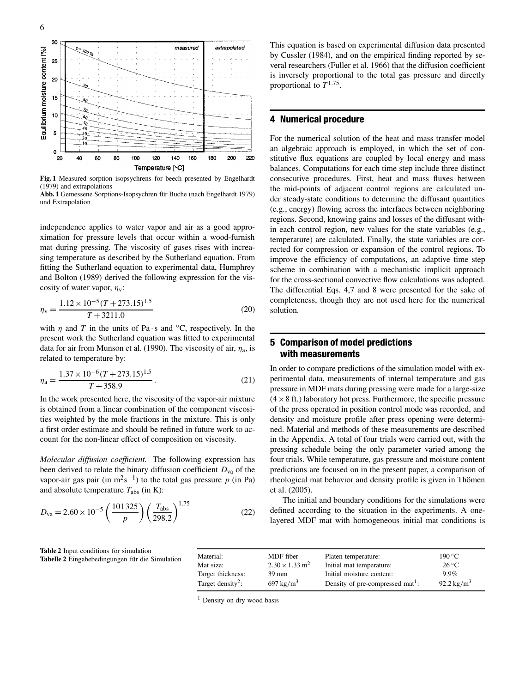

**Fig. 1** Measured sorption isopsychrens for beech presented by Engelhardt (1979) and extrapolations

**Abb. 1** Gemessene Sorptions-Isopsychren für Buche (nach Engelhardt 1979) und Extrapolation

independence applies to water vapor and air as a good approximation for pressure levels that occur within a wood-furnish mat during pressing. The viscosity of gases rises with increasing temperature as described by the Sutherland equation. From fitting the Sutherland equation to experimental data, Humphrey and Bolton (1989) derived the following expression for the viscosity of water vapor,  $\eta_{v}$ :

$$
\eta_{\rm v} = \frac{1.12 \times 10^{-5} (T + 273.15)^{1.5}}{T + 3211.0}
$$
\n(20)

with  $\eta$  and  $T$  in the units of Pa · s and  $\degree$ C, respectively. In the present work the Sutherland equation was fitted to experimental data for air from Munson et al. (1990). The viscosity of air,  $\eta_a$ , is related to temperature by:

$$
\eta_{\rm a} = \frac{1.37 \times 10^{-6} (T + 273.15)^{1.5}}{T + 358.9} \,. \tag{21}
$$

In the work presented here, the viscosity of the vapor-air mixture is obtained from a linear combination of the component viscosities weighted by the mole fractions in the mixture. This is only a first order estimate and should be refined in future work to account for the non-linear effect of composition on viscosity.

*Molecular diffusion coefficient.* The following expression has been derived to relate the binary diffusion coefficient  $D_{va}$  of the vapor-air gas pair (in  $m^2s^{-1}$ ) to the total gas pressure *p* (in Pa) and absolute temperature  $T_{\text{abs}}$  (in K):

$$
D_{\text{va}} = 2.60 \times 10^{-5} \left(\frac{101\,325}{p}\right) \left(\frac{T_{\text{abs}}}{298.2}\right)^{1.75} \tag{22}
$$

**Table 2** Input conditions for simulation **Tabelle 2** Eingabebedingungen für die Simulation This equation is based on experimental diffusion data presented by Cussler (1984), and on the empirical finding reported by several researchers (Fuller et al. 1966) that the diffusion coefficient is inversely proportional to the total gas pressure and directly proportional to  $T^{1.75}$ .

## **4 Numerical procedure**

For the numerical solution of the heat and mass transfer model an algebraic approach is employed, in which the set of constitutive flux equations are coupled by local energy and mass balances. Computations for each time step include three distinct consecutive procedures. First, heat and mass fluxes between the mid-points of adjacent control regions are calculated under steady-state conditions to determine the diffusant quantities (e.g., energy) flowing across the interfaces between neighboring regions. Second, knowing gains and losses of the diffusant within each control region, new values for the state variables (e.g., temperature) are calculated. Finally, the state variables are corrected for compression or expansion of the control regions. To improve the efficiency of computations, an adaptive time step scheme in combination with a mechanistic implicit approach for the cross-sectional convective flow calculations was adopted. The differential Eqs. 4,7 and 8 were presented for the sake of completeness, though they are not used here for the numerical solution.

## **5 Comparison of model predictions with measurements**

In order to compare predictions of the simulation model with experimental data, measurements of internal temperature and gas pressure in MDF mats during pressing were made for a large-size  $(4 \times 8$  ft.) laboratory hot press. Furthermore, the specific pressure of the press operated in position control mode was recorded, and density and moisture profile after press opening were determined. Material and methods of these measurements are described in the Appendix. A total of four trials were carried out, with the pressing schedule being the only parameter varied among the four trials. While temperature, gas pressure and moisture content predictions are focused on in the present paper, a comparison of rheological mat behavior and density profile is given in Thömen et al. (2005).

The initial and boundary conditions for the simulations were defined according to the situation in the experiments. A onelayered MDF mat with homogeneous initial mat conditions is

| Material:                     | MDF fiber                         | Platen temperature:                          | $190\,^{\circ}\mathrm{C}$ |
|-------------------------------|-----------------------------------|----------------------------------------------|---------------------------|
| Mat size:                     | $2.30 \times 1.33$ m <sup>2</sup> | Initial mat temperature:                     | $26^{\circ}$ C            |
| Target thickness:             | $39 \text{ mm}$                   | Initial moisture content:                    | $9.9\%$                   |
| Target density <sup>2</sup> : | $697 \text{ kg/m}^3$              | Density of pre-compressed mat <sup>1</sup> : | 92.2 kg/m <sup>3</sup>    |

<sup>1</sup> Density on dry wood basis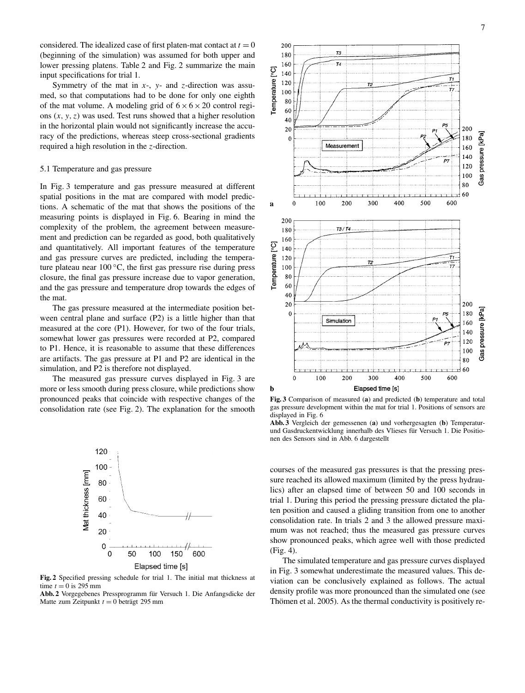considered. The idealized case of first platen-mat contact at  $t = 0$ (beginning of the simulation) was assumed for both upper and lower pressing platens. Table 2 and Fig. 2 summarize the main input specifications for trial 1.

Symmetry of the mat in *x*-, *y*- and *z*-direction was assumed, so that computations had to be done for only one eighth of the mat volume. A modeling grid of  $6 \times 6 \times 20$  control regions (*x*, *y*,*z*) was used. Test runs showed that a higher resolution in the horizontal plain would not significantly increase the accuracy of the predictions, whereas steep cross-sectional gradients required a high resolution in the *z*-direction.

#### 5.1 Temperature and gas pressure

In Fig. 3 temperature and gas pressure measured at different spatial positions in the mat are compared with model predictions. A schematic of the mat that shows the positions of the measuring points is displayed in Fig. 6. Bearing in mind the complexity of the problem, the agreement between measurement and prediction can be regarded as good, both qualitatively and quantitatively. All important features of the temperature and gas pressure curves are predicted, including the temperature plateau near  $100\,^{\circ}\text{C}$ , the first gas pressure rise during press closure, the final gas pressure increase due to vapor generation, and the gas pressure and temperature drop towards the edges of the mat.

The gas pressure measured at the intermediate position between central plane and surface (P2) is a little higher than that measured at the core (P1). However, for two of the four trials, somewhat lower gas pressures were recorded at P2, compared to P1. Hence, it is reasonable to assume that these differences are artifacts. The gas pressure at P1 and P2 are identical in the simulation, and P2 is therefore not displayed.

The measured gas pressure curves displayed in Fig. 3 are more or less smooth during press closure, while predictions show pronounced peaks that coincide with respective changes of the consolidation rate (see Fig. 2). The explanation for the smooth



**Fig. 2** Specified pressing schedule for trial 1. The initial mat thickness at time  $t = 0$  is 295 mm

**Abb. 2** Vorgegebenes Pressprogramm für Versuch 1. Die Anfangsdicke der Matte zum Zeitpunkt  $t = 0$  beträgt 295 mm



**Fig. 3** Comparison of measured (**a**) and predicted (**b**) temperature and total gas pressure development within the mat for trial 1. Positions of sensors are displayed in Fig. 6

**Abb. 3** Vergleich der gemessenen (**a**) und vorhergesagten (**b**) Temperaturund Gasdruckentwicklung innerhalb des Vlieses für Versuch 1. Die Positionen des Sensors sind in Abb. 6 dargestellt

courses of the measured gas pressures is that the pressing pressure reached its allowed maximum (limited by the press hydraulics) after an elapsed time of between 50 and 100 seconds in trial 1. During this period the pressing pressure dictated the platen position and caused a gliding transition from one to another consolidation rate. In trials 2 and 3 the allowed pressure maximum was not reached; thus the measured gas pressure curves show pronounced peaks, which agree well with those predicted (Fig. 4).

The simulated temperature and gas pressure curves displayed in Fig. 3 somewhat underestimate the measured values. This deviation can be conclusively explained as follows. The actual density profile was more pronounced than the simulated one (see Thömen et al. 2005). As the thermal conductivity is positively re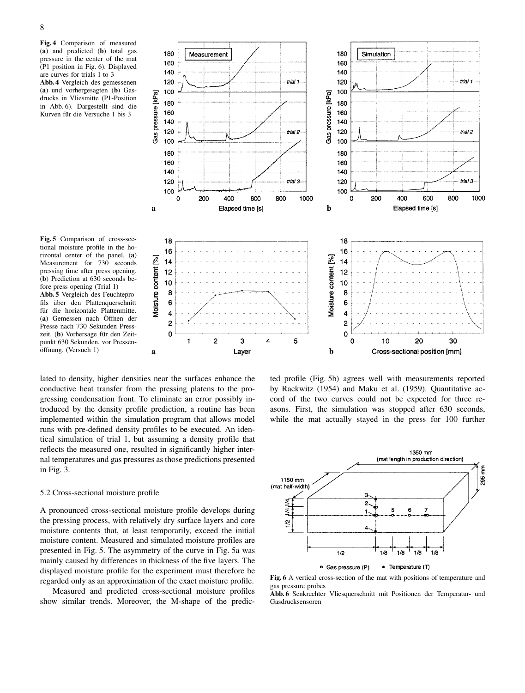8

**Fig. 4** Comparison of measured (**a**) and predicted (**b**) total gas pressure in the center of the mat (P1 position in Fig. 6). Displayed are curves for trials 1 to 3 **Abb. 4** Vergleich des gemessenen

(**a**) und vorhergesagten (**b**) Gasdrucks in Vliesmitte (P1-Position in Abb. 6). Dargestellt sind die Kurven für die Versuche 1 bis 3



**Fig. 5** Comparison of cross-sectional moisture profile in the horizontal center of the panel. (**a**) Measurement for 730 seconds pressing time after press opening. (**b**) Prediction at 630 seconds before press opening (Trial 1) **Abb. 5** Vergleich des Feuchteprofils über den Plattenquerschnitt

für die horizontale Plattenmitte. (**a**) Gemessen nach Öffnen der Presse nach 730 Sekunden Presszeit. (**b**) Vorhersage für den Zeitpunkt 630 Sekunden, vor Pressenöffnung. (Versuch 1)

lated to density, higher densities near the surfaces enhance the conductive heat transfer from the pressing platens to the progressing condensation front. To eliminate an error possibly introduced by the density profile prediction, a routine has been implemented within the simulation program that allows model runs with pre-defined density profiles to be executed. An identical simulation of trial 1, but assuming a density profile that reflects the measured one, resulted in significantly higher internal temperatures and gas pressures as those predictions presented in Fig. 3.

#### 5.2 Cross-sectional moisture profile

A pronounced cross-sectional moisture profile develops during the pressing process, with relatively dry surface layers and core moisture contents that, at least temporarily, exceed the initial moisture content. Measured and simulated moisture profiles are presented in Fig. 5. The asymmetry of the curve in Fig. 5a was mainly caused by differences in thickness of the five layers. The displayed moisture profile for the experiment must therefore be regarded only as an approximation of the exact moisture profile.

Measured and predicted cross-sectional moisture profiles show similar trends. Moreover, the M-shape of the predic-

ted profile (Fig. 5b) agrees well with measurements reported by Rackwitz (1954) and Maku et al. (1959). Quantitative accord of the two curves could not be expected for three reasons. First, the simulation was stopped after 630 seconds, while the mat actually stayed in the press for 100 further



**Fig. 6** A vertical cross-section of the mat with positions of temperature and gas pressure probes

**Abb. 6** Senkrechter Vliesquerschnitt mit Positionen der Temperatur- und Gasdrucksensoren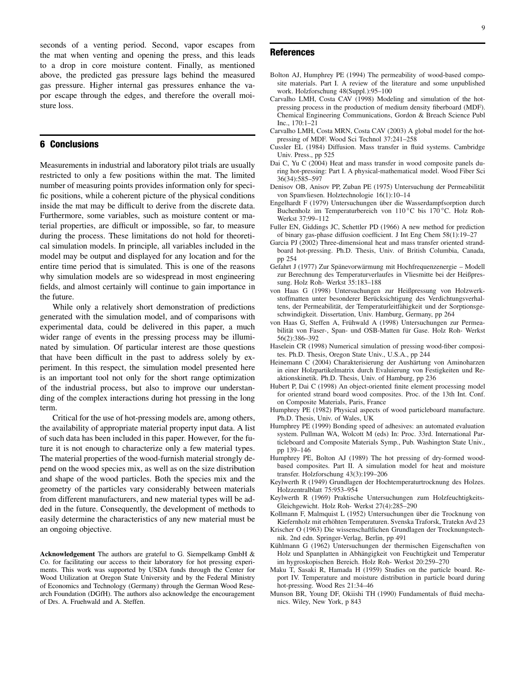seconds of a venting period. Second, vapor escapes from the mat when venting and opening the press, and this leads to a drop in core moisture content. Finally, as mentioned above, the predicted gas pressure lags behind the measured gas pressure. Higher internal gas pressures enhance the vapor escape through the edges, and therefore the overall moisture loss.

## **6 Conclusions**

Measurements in industrial and laboratory pilot trials are usually restricted to only a few positions within the mat. The limited number of measuring points provides information only for specific positions, while a coherent picture of the physical conditions inside the mat may be difficult to derive from the discrete data. Furthermore, some variables, such as moisture content or material properties, are difficult or impossible, so far, to measure during the process. These limitations do not hold for theoretical simulation models. In principle, all variables included in the model may be output and displayed for any location and for the entire time period that is simulated. This is one of the reasons why simulation models are so widespread in most engineering fields, and almost certainly will continue to gain importance in the future.

While only a relatively short demonstration of predictions generated with the simulation model, and of comparisons with experimental data, could be delivered in this paper, a much wider range of events in the pressing process may be illuminated by simulation. Of particular interest are those questions that have been difficult in the past to address solely by experiment. In this respect, the simulation model presented here is an important tool not only for the short range optimization of the industrial process, but also to improve our understanding of the complex interactions during hot pressing in the long term.

Critical for the use of hot-pressing models are, among others, the availability of appropriate material property input data. A list of such data has been included in this paper. However, for the future it is not enough to characterize only a few material types. The material properties of the wood-furnish material strongly depend on the wood species mix, as well as on the size distribution and shape of the wood particles. Both the species mix and the geometry of the particles vary considerably between materials from different manufacturers, and new material types will be added in the future. Consequently, the development of methods to easily determine the characteristics of any new material must be an ongoing objective.

**Acknowledgement** The authors are grateful to G. Siempelkamp GmbH & Co. for facilitating our access to their laboratory for hot pressing experiments. This work was supported by USDA funds through the Center for Wood Utilization at Oregon State University and by the Federal Ministry of Economics and Technology (Germany) through the German Wood Research Foundation (DGfH). The authors also acknowledge the encouragement of Drs. A. Fruehwald and A. Steffen.

### **References**

- Bolton AJ, Humphrey PE (1994) The permeability of wood-based composite materials. Part I. A review of the literature and some unpublished work. Holzforschung 48(Suppl.):95–100
- Carvalho LMH, Costa CAV (1998) Modeling and simulation of the hotpressing process in the production of medium density fiberboard (MDF). Chemical Engineering Communications, Gordon & Breach Science Publ Inc., 170:1–21
- Carvalho LMH, Costa MRN, Costa CAV (2003) A global model for the hotpressing of MDF. Wood Sci Technol 37:241–258
- Cussler EL (1984) Diffusion. Mass transfer in fluid systems. Cambridge Univ. Press., pp 525
- Dai C, Yu C (2004) Heat and mass transfer in wood composite panels during hot-pressing: Part I. A physical-mathematical model. Wood Fiber Sci 36(34):585–597
- Denisov OB, Anisov PP, Zuban PE (1975) Untersuchung der Permeabilität von Spanvliesen. Holztechnologie 16(1):10–14
- Engelhardt F (1979) Untersuchungen über die Wasserdampfsorption durch Buchenholz im Temperaturbereich von 110 ◦C bis 170 ◦C. Holz Roh-Werkst 37:99–112
- Fuller EN, Giddings JC, Schettler PD (1966) A new method for prediction of binary gas-phase diffusion coefficient. J Int Eng Chem 58(1):19–27
- Garcia PJ (2002) Three-dimensional heat and mass transfer oriented strandboard hot-pressing. Ph.D. Thesis, Univ. of British Columbia, Canada, pp 254
- Gefahrt J (1977) Zur Spänevorwärmung mit Hochfrequenzenergie Modell zur Berechnung des Temperaturverlaufes in Vliesmitte bei der Heißpressung. Holz Roh- Werkst 35:183–188
- von Haas G (1998) Untersuchungen zur Heißpressung von Holzwerkstoffmatten unter besonderer Berücksichtigung des Verdichtungsverhaltens, der Permeabilität, der Temperaturleitfähigkeit und der Sorptionsgeschwindigkeit. Dissertation, Univ. Hamburg, Germany, pp 264
- von Haas G, Steffen A, Frühwald A (1998) Untersuchungen zur Permeabilität von Faser-, Span- und OSB-Matten für Gase. Holz Roh- Werkst 56(2):386–392
- Haselein CR (1998) Numerical simulation of pressing wood-fiber composites. Ph.D. Thesis, Oregon State Univ., U.S.A., pp 244
- Heinemann C (2004) Charakterisierung der Aushärtung von Aminoharzen in einer Holzpartikelmatrix durch Evaluierung von Festigkeiten und Reaktionskinetik. Ph.D. Thesis, Univ. of Hamburg, pp 236
- Hubert P, Dai C (1998) An object-oriented finite element processing model for oriented strand board wood composites. Proc. of the 13th Int. Conf. on Composite Materials, Paris, France
- Humphrey PE (1982) Physical aspects of wood particleboard manufacture. Ph.D. Thesis, Univ. of Wales, UK
- Humphrey PE (1999) Bonding speed of adhesives: an automated evaluation system. Pullman WA, Wolcott M (eds) In: Proc. 33rd. International Particleboard and Composite Materials Symp., Pub. Washington State Univ., pp 139–146
- Humphrey PE, Bolton AJ (1989) The hot pressing of dry-formed woodbased composites. Part II. A simulation model for heat and moisture transfer. Holzforschung 43(3):199–206
- Keylwerth R (1949) Grundlagen der Hochtemperaturtrocknung des Holzes. Holzzentralblatt 75:953–954
- Keylwerth R (1969) Praktische Untersuchungen zum Holzfeuchtigkeits-Gleichgewicht. Holz Roh- Werkst 27(4):285–290
- Kollmann F, Malmquist L (1952) Untersuchungen über die Trocknung von Kiefernholz mit erhöhten Temperaturen. Svenska Traforsk, Tratekn Avd 23
- Krischer O (1963) Die wissenschaftlichen Grundlagen der Trocknungstechnik. 2nd edn. Springer-Verlag, Berlin, pp 491
- Kühlmann G (1962) Untersuchungen der thermischen Eigenschaften von Holz und Spanplatten in Abhängigkeit von Feuchtigkeit und Temperatur im hygroskopischen Bereich. Holz Roh- Werkst 20:259–270
- Maku T, Sasaki R, Hamada H (1959) Studies on the particle board. Report IV. Temperature and moisture distribution in particle board during hot-pressing. Wood Res 21:34–46
- Munson BR, Young DF, Okiishi TH (1990) Fundamentals of fluid mechanics. Wiley, New York, p 843